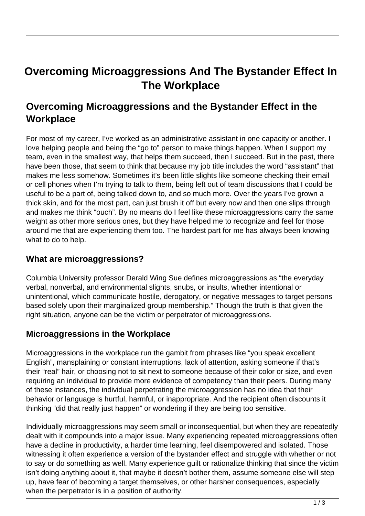# **Overcoming Microaggressions And The Bystander Effect In The Workplace**

## **Overcoming Microaggressions and the Bystander Effect in the Workplace**

For most of my career, I've worked as an administrative assistant in one capacity or another. I love helping people and being the "go to" person to make things happen. When I support my team, even in the smallest way, that helps them succeed, then I succeed. But in the past, there have been those, that seem to think that because my job title includes the word "assistant" that makes me less somehow. Sometimes it's been little slights like someone checking their email or cell phones when I'm trying to talk to them, being left out of team discussions that I could be useful to be a part of, being talked down to, and so much more. Over the years I've grown a thick skin, and for the most part, can just brush it off but every now and then one slips through and makes me think "ouch". By no means do I feel like these microaggressions carry the same weight as other more serious ones, but they have helped me to recognize and feel for those around me that are experiencing them too. The hardest part for me has always been knowing what to do to help.

#### **What are microaggressions?**

Columbia University professor Derald Wing Sue defines microaggressions as "the everyday verbal, nonverbal, and environmental slights, snubs, or insults, whether intentional or unintentional, which communicate hostile, derogatory, or negative messages to target persons based solely upon their marginalized group membership." Though the truth is that given the right situation, anyone can be the victim or perpetrator of microaggressions.

### **Microaggressions in the Workplace**

Microaggressions in the workplace run the gambit from phrases like "you speak excellent English", mansplaining or constant interruptions, lack of attention, asking someone if that's their "real" hair, or choosing not to sit next to someone because of their color or size, and even requiring an individual to provide more evidence of competency than their peers. During many of these instances, the individual perpetrating the microaggression has no idea that their behavior or language is hurtful, harmful, or inappropriate. And the recipient often discounts it thinking "did that really just happen" or wondering if they are being too sensitive.

Individually microaggressions may seem small or inconsequential, but when they are repeatedly dealt with it compounds into a major issue. Many experiencing repeated microaggressions often have a decline in productivity, a harder time learning, feel disempowered and isolated. Those witnessing it often experience a version of the bystander effect and struggle with whether or not to say or do something as well. Many experience guilt or rationalize thinking that since the victim isn't doing anything about it, that maybe it doesn't bother them, assume someone else will step up, have fear of becoming a target themselves, or other harsher consequences, especially when the perpetrator is in a position of authority.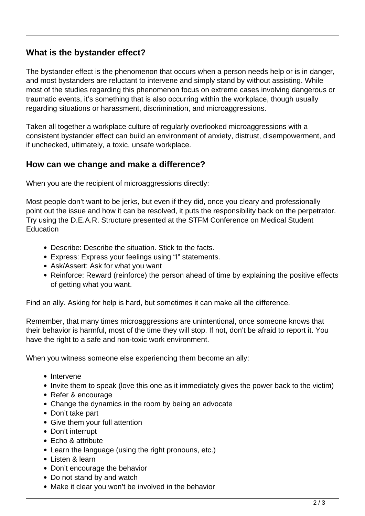### **What is the bystander effect?**

The bystander effect is the phenomenon that occurs when a person needs help or is in danger, and most bystanders are reluctant to intervene and simply stand by without assisting. While most of the studies regarding this phenomenon focus on extreme cases involving dangerous or traumatic events, it's something that is also occurring within the workplace, though usually regarding situations or harassment, discrimination, and microaggressions.

Taken all together a workplace culture of regularly overlooked microaggressions with a consistent bystander effect can build an environment of anxiety, distrust, disempowerment, and if unchecked, ultimately, a toxic, unsafe workplace.

#### **How can we change and make a difference?**

When you are the recipient of microaggressions directly:

Most people don't want to be jerks, but even if they did, once you cleary and professionally point out the issue and how it can be resolved, it puts the responsibility back on the perpetrator. Try using the D.E.A.R. Structure presented at the STFM Conference on Medical Student **Education** 

- Describe: Describe the situation. Stick to the facts.
- Express: Express your feelings using "I" statements.
- Ask/Assert: Ask for what you want
- Reinforce: Reward (reinforce) the person ahead of time by explaining the positive effects of getting what you want.

Find an ally. Asking for help is hard, but sometimes it can make all the difference.

Remember, that many times microaggressions are unintentional, once someone knows that their behavior is harmful, most of the time they will stop. If not, don't be afraid to report it. You have the right to a safe and non-toxic work environment.

When you witness someone else experiencing them become an ally:

- Intervene
- Invite them to speak (love this one as it immediately gives the power back to the victim)
- Refer & encourage
- Change the dynamics in the room by being an advocate
- Don't take part
- Give them your full attention
- Don't interrupt
- $\bullet$  Echo & attribute
- Learn the language (using the right pronouns, etc.)
- Listen & learn
- Don't encourage the behavior
- Do not stand by and watch
- Make it clear you won't be involved in the behavior